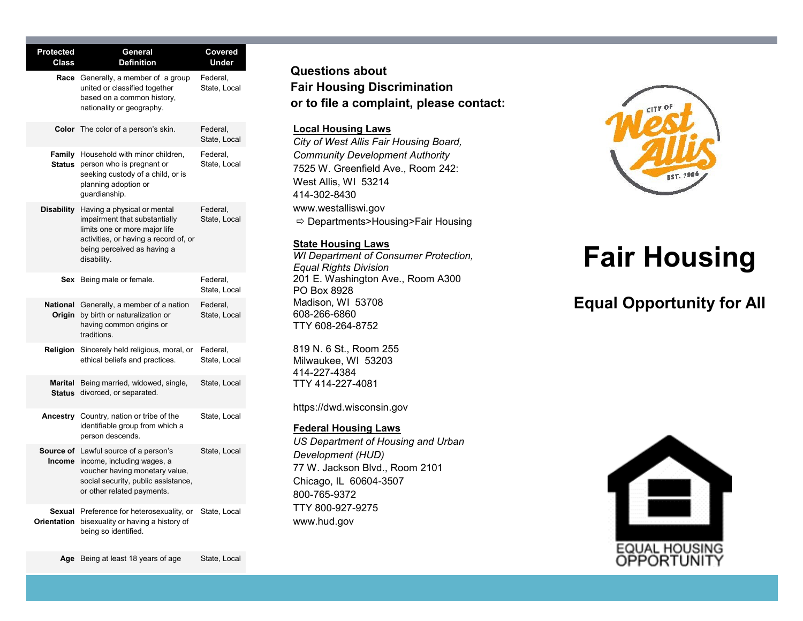| <b>Protected</b><br><b>Class</b> | General<br><b>Definition</b>                                                                                                                                                         | Covered<br>Under         |
|----------------------------------|--------------------------------------------------------------------------------------------------------------------------------------------------------------------------------------|--------------------------|
| Race                             | Generally, a member of a group<br>united or classified together<br>based on a common history,<br>nationality or geography.                                                           | Federal,<br>State, Local |
|                                  | <b>Color</b> The color of a person's skin.                                                                                                                                           | Federal,<br>State, Local |
| <b>Status</b>                    | Family Household with minor children,<br>person who is pregnant or<br>seeking custody of a child, or is<br>planning adoption or<br>guardianship.                                     | Federal,<br>State, Local |
| <b>Disability</b>                | Having a physical or mental<br>impairment that substantially<br>limits one or more major life<br>activities, or having a record of, or<br>being perceived as having a<br>disability. | Federal,<br>State, Local |
|                                  | Sex Being male or female.                                                                                                                                                            | Federal,<br>State, Local |
| <b>National</b><br>Origin        | Generally, a member of a nation<br>by birth or naturalization or<br>having common origins or<br>traditions.                                                                          | Federal,<br>State, Local |
| Religion                         | Sincerely held religious, moral, or<br>ethical beliefs and practices.                                                                                                                | Federal,<br>State, Local |
| Marital                          | Being married, widowed, single,<br>Status divorced, or separated.                                                                                                                    | State, Local             |
| Ancestry                         | Country, nation or tribe of the<br>identifiable group from which a<br>person descends.                                                                                               | State, Local             |
| Income                           | <b>Source of</b> Lawful source of a person's<br>income, including wages, a<br>voucher having monetary value,<br>social security, public assistance,<br>or other related payments.    | State, Local             |
| Sexual<br>Orientation            | Preference for heterosexuality, or<br>bisexuality or having a history of<br>being so identified.                                                                                     | State, Local             |

### **Questions about Fair Housing Discrimination or to file a complaint, please contact:**

#### **Local Housing Laws**

*City of West Allis Fair Housing Board, Community Development Authority* 7525 W. Greenfield Ave., Room 242: West Allis, WI 53214 414-302-8430 www.westalliswi.gov  $\Rightarrow$  Departments>Housing>Fair Housing

#### **State Housing Laws**

*WI Department of Consumer Protection, Equal Rights Division* 201 E. Washington Ave., Room A300 PO Box 8928 Madison, WI 53708 608-266-6860 TTY 608-264-8752

819 N. 6 St., Room 255 Milwaukee, WI 53203 414-227-4384 TTY 414-227-4081

https://dwd.wisconsin.gov

#### **Federal Housing Laws**

*US Department of Housing and Urban Development (HUD)* 77 W. Jackson Blvd., Room 2101 Chicago, IL 60604-3507 800-765-9372 TTY 800-927-9275 www.hud.gov



# **Fair Housing**

## **Equal Opportunity for All**



Age Being at least 18 years of age State, Local